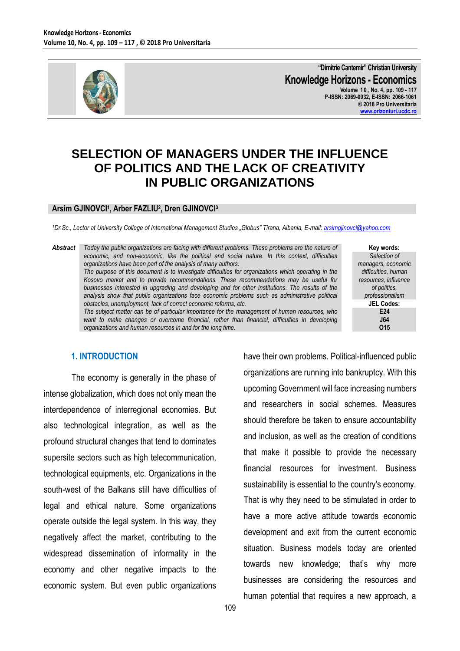

**"Dimitrie Cantemir" Christian University Knowledge Horizons - Economics Volume 1 0 , No. 4, pp. 109 - 117 P-ISSN: 2069-0932, E-ISSN: 2066-1061 © 2018 Pro Universitaria [www.orizonturi.ucdc.ro](http://www.orizonturi.ucdc.ro/)**

# **SELECTION OF MANAGERS UNDER THE INFLUENCE OF POLITICS AND THE LACK OF CREATIVITY IN PUBLIC ORGANIZATIONS**

### **Arsim GJINOVCI<sup>1</sup> , Arber FAZLIU<sup>2</sup> , Dren GJINOVCI<sup>3</sup>**

*<sup>1</sup>Dr.Sc., Lector at University College of International Management Studies "Globus" Tirana, Albania, E-mail: [arsimgjinovci@yahoo.com](mailto:arsimgjinovci@yahoo.com)*

*Abstract Today the public organizations are facing with different problems. These problems are the nature of economic, and non-economic, like the political and social nature. In this context, difficulties organizations have been part of the analysis of many authors. The purpose of this document is to investigate difficulties for organizations which operating in the Kosovo market and to provide recommendations. These recommendations may be useful for businesses interested in upgrading and developing and for other institutions. The results of the analysis show that public organizations face economic problems such as administrative political obstacles, unemployment, lack of correct economic reforms, etc. The subject matter can be of particular importance for the management of human resources, who*  want to make changes or overcome financial, rather than financial, difficulties in developing *organizations and human resources in and for the long time.*

**Key words:** *Selection of managers, economic difficulties, human resources, influence of politics, professionalism* **JEL Codes: E24 J64 O15**

#### **1. INTRODUCTION**

The economy is generally in the phase of intense globalization, which does not only mean the interdependence of interregional economies. But also technological integration, as well as the profound structural changes that tend to dominates supersite sectors such as high telecommunication, technological equipments, etc. Organizations in the south-west of the Balkans still have difficulties of legal and ethical nature. Some organizations operate outside the legal system. In this way, they negatively affect the market, contributing to the widespread dissemination of informality in the economy and other negative impacts to the economic system. But even public organizations

have their own problems. Political-influenced public organizations are running into bankruptcy. With this upcoming Government will face increasing numbers and researchers in social schemes. Measures should therefore be taken to ensure accountability and inclusion, as well as the creation of conditions that make it possible to provide the necessary financial resources for investment. Business sustainability is essential to the country's economy. That is why they need to be stimulated in order to have a more active attitude towards economic development and exit from the current economic situation. Business models today are oriented towards new knowledge; that's why more businesses are considering the resources and human potential that requires a new approach, a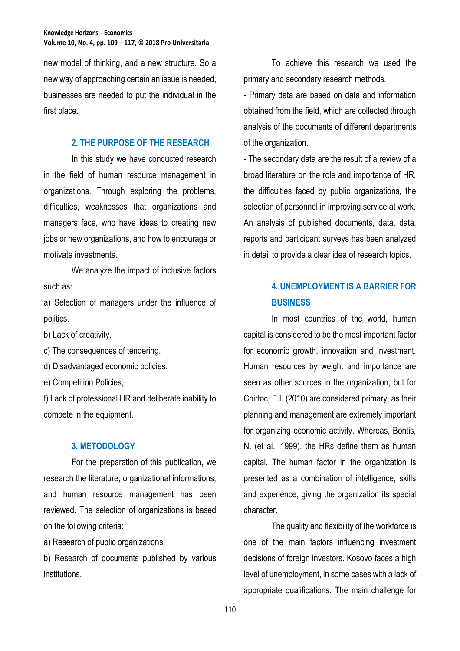new model of thinking, and a new structure. So a new way of approaching certain an issue is needed, businesses are needed to put the individual in the first place.

#### **2. THE PURPOSE OF THE RESEARCH**

In this study we have conducted research in the field of human resource management in organizations. Through exploring the problems, difficulties, weaknesses that organizations and managers face, who have ideas to creating new jobs or new organizations, and how to encourage or motivate investments.

We analyze the impact of inclusive factors such as:

a) Selection of managers under the influence of politics.

b) Lack of creativity.

c) The consequences of tendering.

d) Disadvantaged economic policies.

e) Competition Policies;

f) Lack of professional HR and deliberate inability to compete in the equipment.

### **3. METODOLOGY**

For the preparation of this publication, we research the literature, organizational informations, and human resource management has been reviewed. The selection of organizations is based on the following criteria:

a) Research of public organizations;

b) Research of documents published by various institutions.

To achieve this research we used the primary and secondary research methods.

- Primary data are based on data and information obtained from the field, which are collected through analysis of the documents of different departments of the organization.

- The secondary data are the result of a review of a broad literature on the role and importance of HR, the difficulties faced by public organizations, the selection of personnel in improving service at work. An analysis of published documents, data, data, reports and participant surveys has been analyzed in detail to provide a clear idea of research topics.

## **4. UNEMPLOYMENT IS A BARRIER FOR BUSINESS**

In most countries of the world, human capital is considered to be the most important factor for economic growth, innovation and investment. Human resources by weight and importance are seen as other sources in the organization, but for Chirtoc, E.I. (2010) are considered primary, as their planning and management are extremely important for organizing economic activity. Whereas, Bontis, N. (et al., 1999), the HRs define them as human capital. The human factor in the organization is presented as a combination of intelligence, skills and experience, giving the organization its special character.

The quality and flexibility of the workforce is one of the main factors influencing investment decisions of foreign investors. Kosovo faces a high level of unemployment, in some cases with a lack of appropriate qualifications. The main challenge for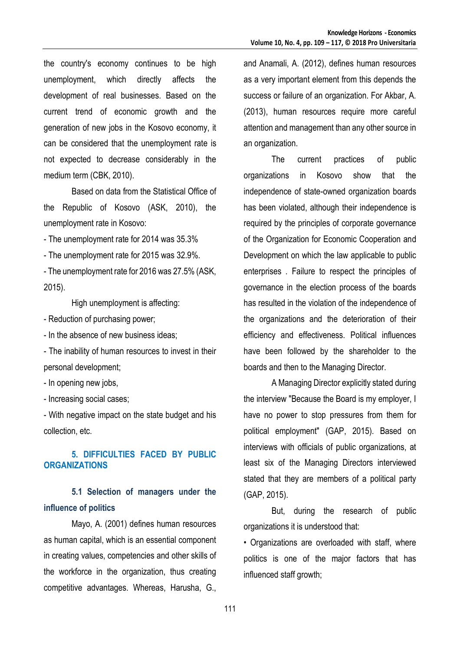the country's economy continues to be high unemployment, which directly affects the development of real businesses. Based on the current trend of economic growth and the generation of new jobs in the Kosovo economy, it can be considered that the unemployment rate is not expected to decrease considerably in the medium term (CBK, 2010).

Based on data from the Statistical Office of the Republic of Kosovo (ASK, 2010), the unemployment rate in Kosovo:

- The unemployment rate for 2014 was 35.3%

- The unemployment rate for 2015 was 32.9%.

- The unemployment rate for 2016 was 27.5% (ASK, 2015).

High unemployment is affecting:

- Reduction of purchasing power;

- In the absence of new business ideas;

- The inability of human resources to invest in their personal development;

- In opening new jobs,

- Increasing social cases;

- With negative impact on the state budget and his collection, etc.

## **5. DIFFICULTIES FACED BY PUBLIC ORGANIZATIONS**

## **5.1 Selection of managers under the influence of politics**

Mayo, A. (2001) defines human resources as human capital, which is an essential component in creating values, competencies and other skills of the workforce in the organization, thus creating competitive advantages. Whereas, Harusha, G.,

and Anamali, A. (2012), defines human resources as a very important element from this depends the success or failure of an organization. For Akbar, A. (2013), human resources require more careful attention and management than any other source in an organization.

The current practices of public organizations in Kosovo show that the independence of state-owned organization boards has been violated, although their independence is required by the principles of corporate governance of the Organization for Economic Cooperation and Development on which the law applicable to public enterprises . Failure to respect the principles of governance in the election process of the boards has resulted in the violation of the independence of the organizations and the deterioration of their efficiency and effectiveness. Political influences have been followed by the shareholder to the boards and then to the Managing Director.

A Managing Director explicitly stated during the interview "Because the Board is my employer, I have no power to stop pressures from them for political employment" (GAP, 2015). Based on interviews with officials of public organizations, at least six of the Managing Directors interviewed stated that they are members of a political party (GAP, 2015).

But, during the research of public organizations it is understood that:

• Organizations are overloaded with staff, where politics is one of the major factors that has influenced staff growth;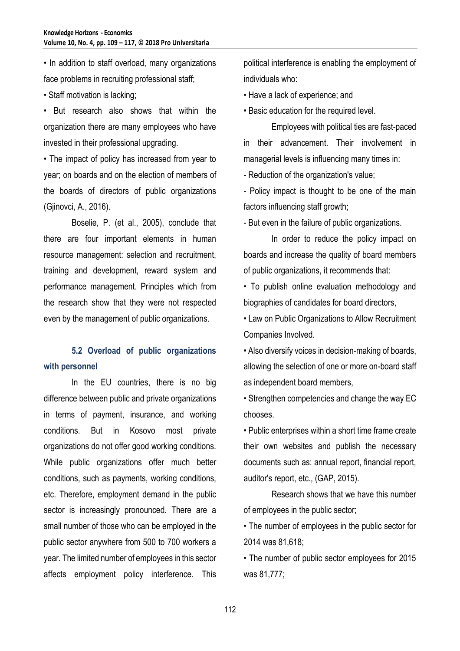• In addition to staff overload, many organizations face problems in recruiting professional staff;

• Staff motivation is lacking;

• But research also shows that within the organization there are many employees who have invested in their professional upgrading.

• The impact of policy has increased from year to year; on boards and on the election of members of the boards of directors of public organizations (Gjinovci, A., 2016).

Boselie, P. (et al., 2005), conclude that there are four important elements in human resource management: selection and recruitment, training and development, reward system and performance management. Principles which from the research show that they were not respected even by the management of public organizations.

# **5.2 Overload of public organizations with personnel**

In the EU countries, there is no big difference between public and private organizations in terms of payment, insurance, and working conditions. But in Kosovo most private organizations do not offer good working conditions. While public organizations offer much better conditions, such as payments, working conditions, etc. Therefore, employment demand in the public sector is increasingly pronounced. There are a small number of those who can be employed in the public sector anywhere from 500 to 700 workers a year. The limited number of employees in this sector affects employment policy interference. This

political interference is enabling the employment of individuals who:

• Have a lack of experience; and

• Basic education for the required level.

Employees with political ties are fast-paced in their advancement. Their involvement in managerial levels is influencing many times in:

- Reduction of the organization's value;

- Policy impact is thought to be one of the main factors influencing staff growth;

- But even in the failure of public organizations.

In order to reduce the policy impact on boards and increase the quality of board members of public organizations, it recommends that:

• To publish online evaluation methodology and biographies of candidates for board directors,

• Law on Public Organizations to Allow Recruitment Companies Involved.

• Also diversify voices in decision-making of boards, allowing the selection of one or more on-board staff as independent board members,

• Strengthen competencies and change the way EC chooses.

• Public enterprises within a short time frame create their own websites and publish the necessary documents such as: annual report, financial report, auditor's report, etc., (GAP, 2015).

Research shows that we have this number of employees in the public sector;

• The number of employees in the public sector for 2014 was 81,618;

• The number of public sector employees for 2015 was 81,777;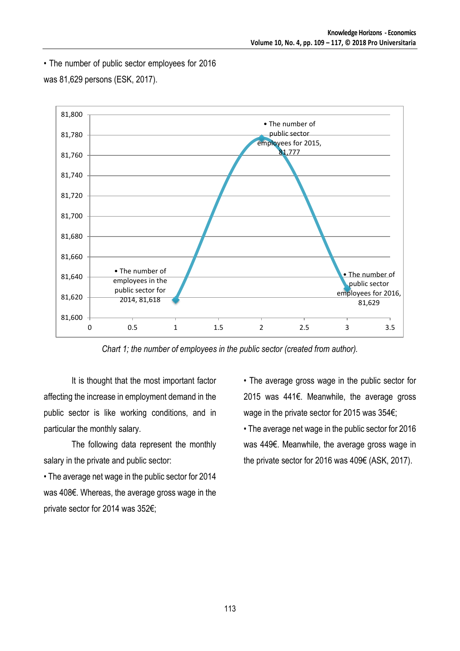• The number of public sector employees for 2016



was 81,629 persons (ESK, 2017).

*Chart 1; the number of employees in the public sector (created from author).*

It is thought that the most important factor affecting the increase in employment demand in the public sector is like working conditions, and in particular the monthly salary.

The following data represent the monthly salary in the private and public sector:

• The average net wage in the public sector for 2014 was 408€. Whereas, the average gross wage in the private sector for 2014 was 352€;

• The average gross wage in the public sector for 2015 was 441€. Meanwhile, the average gross wage in the private sector for 2015 was 354€;

• The average net wage in the public sector for 2016 was 449€. Meanwhile, the average gross wage in the private sector for 2016 was 409€ (ASK, 2017).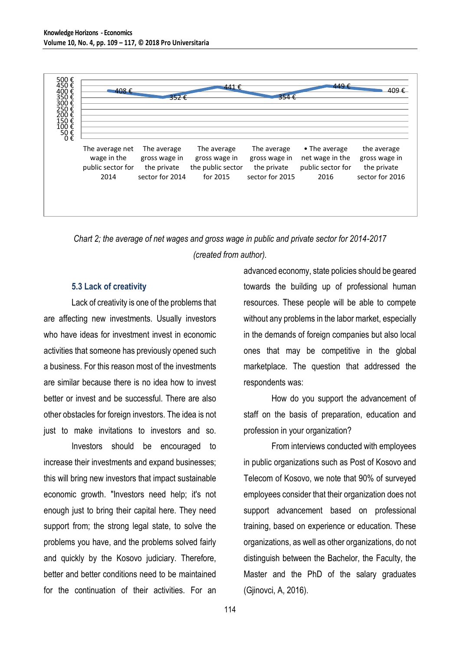

*Chart 2; the average of net wages and gross wage in public and private sector for 2014-2017 (created from author).*

### **5.3 Lack of creativity**

Lack of creativity is one of the problems that are affecting new investments. Usually investors who have ideas for investment invest in economic activities that someone has previously opened such a business. For this reason most of the investments are similar because there is no idea how to invest better or invest and be successful. There are also other obstacles for foreign investors. The idea is not just to make invitations to investors and so.

Investors should be encouraged to increase their investments and expand businesses; this will bring new investors that impact sustainable economic growth. "Investors need help; it's not enough just to bring their capital here. They need support from; the strong legal state, to solve the problems you have, and the problems solved fairly and quickly by the Kosovo judiciary. Therefore, better and better conditions need to be maintained for the continuation of their activities. For an advanced economy, state policies should be geared towards the building up of professional human resources. These people will be able to compete without any problems in the labor market, especially in the demands of foreign companies but also local ones that may be competitive in the global marketplace. The question that addressed the respondents was:

How do you support the advancement of staff on the basis of preparation, education and profession in your organization?

From interviews conducted with employees in public organizations such as Post of Kosovo and Telecom of Kosovo, we note that 90% of surveyed employees consider that their organization does not support advancement based on professional training, based on experience or education. These organizations, as well as other organizations, do not distinguish between the Bachelor, the Faculty, the Master and the PhD of the salary graduates (Gjinovci, A, 2016).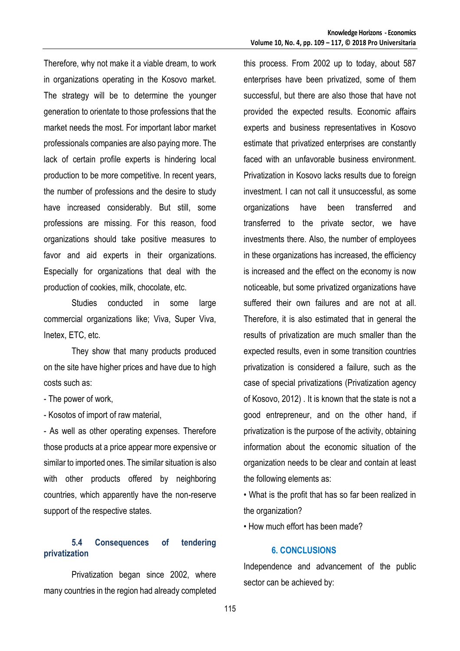Therefore, why not make it a viable dream, to work in organizations operating in the Kosovo market. The strategy will be to determine the younger generation to orientate to those professions that the market needs the most. For important labor market professionals companies are also paying more. The lack of certain profile experts is hindering local production to be more competitive. In recent years, the number of professions and the desire to study have increased considerably. But still, some professions are missing. For this reason, food organizations should take positive measures to favor and aid experts in their organizations. Especially for organizations that deal with the production of cookies, milk, chocolate, etc.

Studies conducted in some large commercial organizations like; Viva, Super Viva, Inetex, ETC, etc.

They show that many products produced on the site have higher prices and have due to high costs such as:

- The power of work,

- Kosotos of import of raw material,

- As well as other operating expenses. Therefore those products at a price appear more expensive or similar to imported ones. The similar situation is also with other products offered by neighboring countries, which apparently have the non-reserve support of the respective states.

## **5.4 Consequences of tendering privatization**

Privatization began since 2002, where many countries in the region had already completed this process. From 2002 up to today, about 587 enterprises have been privatized, some of them successful, but there are also those that have not provided the expected results. Economic affairs experts and business representatives in Kosovo estimate that privatized enterprises are constantly faced with an unfavorable business environment. Privatization in Kosovo lacks results due to foreign investment. I can not call it unsuccessful, as some organizations have been transferred and transferred to the private sector, we have investments there. Also, the number of employees in these organizations has increased, the efficiency is increased and the effect on the economy is now noticeable, but some privatized organizations have suffered their own failures and are not at all. Therefore, it is also estimated that in general the results of privatization are much smaller than the expected results, even in some transition countries privatization is considered a failure, such as the case of special privatizations (Privatization agency of Kosovo, 2012) . It is known that the state is not a good entrepreneur, and on the other hand, if privatization is the purpose of the activity, obtaining information about the economic situation of the organization needs to be clear and contain at least the following elements as:

• What is the profit that has so far been realized in the organization?

• How much effort has been made?

### **6. CONCLUSIONS**

Independence and advancement of the public sector can be achieved by: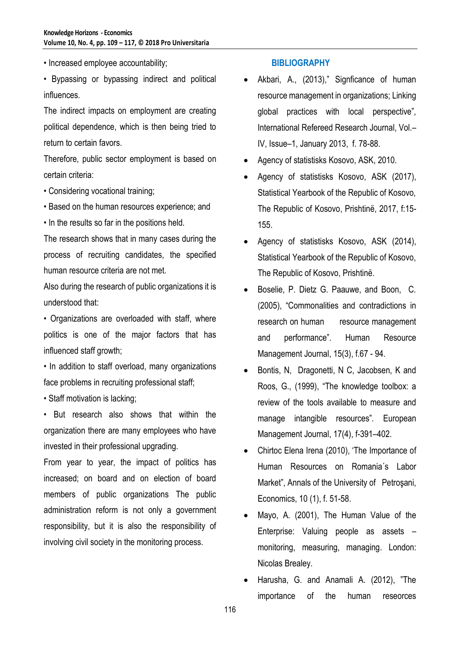• Increased employee accountability;

• Bypassing or bypassing indirect and political influences.

The indirect impacts on employment are creating political dependence, which is then being tried to return to certain favors.

Therefore, public sector employment is based on certain criteria:

- Considering vocational training;
- Based on the human resources experience; and
- In the results so far in the positions held.

The research shows that in many cases during the process of recruiting candidates, the specified human resource criteria are not met.

Also during the research of public organizations it is understood that:

• Organizations are overloaded with staff, where politics is one of the major factors that has influenced staff growth;

• In addition to staff overload, many organizations face problems in recruiting professional staff;

• Staff motivation is lacking;

• But research also shows that within the organization there are many employees who have invested in their professional upgrading.

From year to year, the impact of politics has increased; on board and on election of board members of public organizations The public administration reform is not only a government responsibility, but it is also the responsibility of involving civil society in the monitoring process.

### **BIBLIOGRAPHY**

- Akbari, A., (2013)," Signficance of human resource management in organizations; Linking global practices with local perspective", International Refereed Research Journal, Vol.– IV, Issue–1, January 2013, f. 78-88.
- Agency of statistisks Kosovo, ASK, 2010.
- Agency of statistisks Kosovo, ASK (2017), Statistical Yearbook of the Republic of Kosovo, The Republic of Kosovo, Prishtinë, 2017, f:15- 155.
- Agency of statistisks Kosovo, ASK (2014), Statistical Yearbook of the Republic of Kosovo, The Republic of Kosovo, Prishtinë.
- Boselie, P. Dietz G. Paauwe, and Boon, C. (2005), "Commonalities and contradictions in research on human resource management and performance". Human Resource Management Journal, 15(3), f.67 - 94.
- Bontis, N, Dragonetti, N C, Jacobsen, K and Roos, G., (1999), "The knowledge toolbox: a review of the tools available to measure and manage intangible resources". European Management Journal, 17(4), f-391–402.
- Chirtoc Elena Irena (2010), 'The Importance of Human Resources on Romania´s Labor Market", Annals of the University of Petroşani, Economics, 10 (1), f. 51-58.
- Mayo, A. (2001), The Human Value of the Enterprise: Valuing people as assets – monitoring, measuring, managing. London: Nicolas Brealey.
- Harusha, G. and Anamali A. (2012), "The importance of the human reseorces